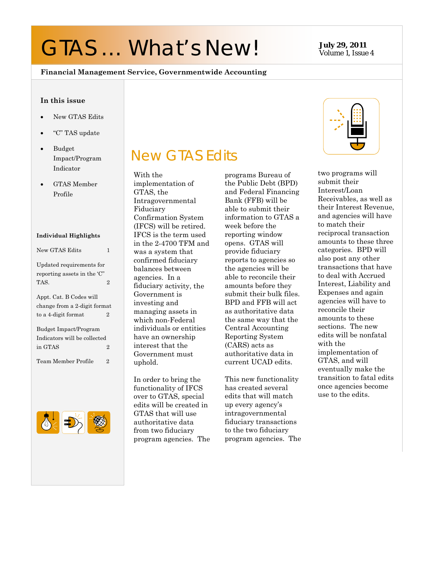# GTAS ... What's New! **July 29, 2011** Volume 1, Issue

### Volume 1, Issue 4

#### **Financial Management Service, Governmentwide Accounting**

#### **In this issue**

- New GTAS Edits
- "C" TAS update
- Budget Impact/Program Indicator
- GTAS Member Profile

#### **Individual Highlights**

| New GTAS Edits                                                                     |                |
|------------------------------------------------------------------------------------|----------------|
| Updated requirements for<br>reporting assets in the 'C"<br>TAS.                    | $\overline{2}$ |
| Appt. Cat. B Codes will<br>change from a 2-digit format<br>to a 4-digit format     | $\overline{2}$ |
| Budget Impact/Program<br>Indicators will be collected<br>in GTAS<br>$\overline{2}$ |                |
| Team Member Profile                                                                | 2              |



## New GTAS Edits

With the implementation of GTAS, the Intragovernmental Fiduciary Confirmation System (IFCS) will be retired. IFCS is the term used in the 2-4700 TFM and was a system that confirmed fiduciary balances between agencies. In a fiduciary activity, the Government is investing and managing assets in which non-Federal individuals or entities have an ownership interest that the Government must uphold.

In order to bring the functionality of IFCS over to GTAS, special edits will be created in GTAS that will use authoritative data from two fiduciary program agencies. The

programs Bureau of the Public Debt (BPD) and Federal Financing Bank (FFB) will be able to submit their information to GTAS a week before the reporting window opens. GTAS will provide fiduciary reports to agencies so the agencies will be able to reconcile their amounts before they submit their bulk files. BPD and FFB will act as authoritative data the same way that the Central Accounting Reporting System (CARS) acts as authoritative data in current UCAD edits.

This new functionality has created several edits that will match up every agency's intragovernmental fiduciary transactions to the two fiduciary program agencies. The



two programs will submit their Interest/Loan Receivables, as well as their Interest Revenue, and agencies will have to match their reciprocal transaction amounts to these three categories. BPD will also post any other transactions that have to deal with Accrued Interest, Liability and Expenses and again agencies will have to reconcile their amounts to these sections. The new edits will be nonfatal with the implementation of GTAS, and will eventually make the transition to fatal edits once agencies become use to the edits.